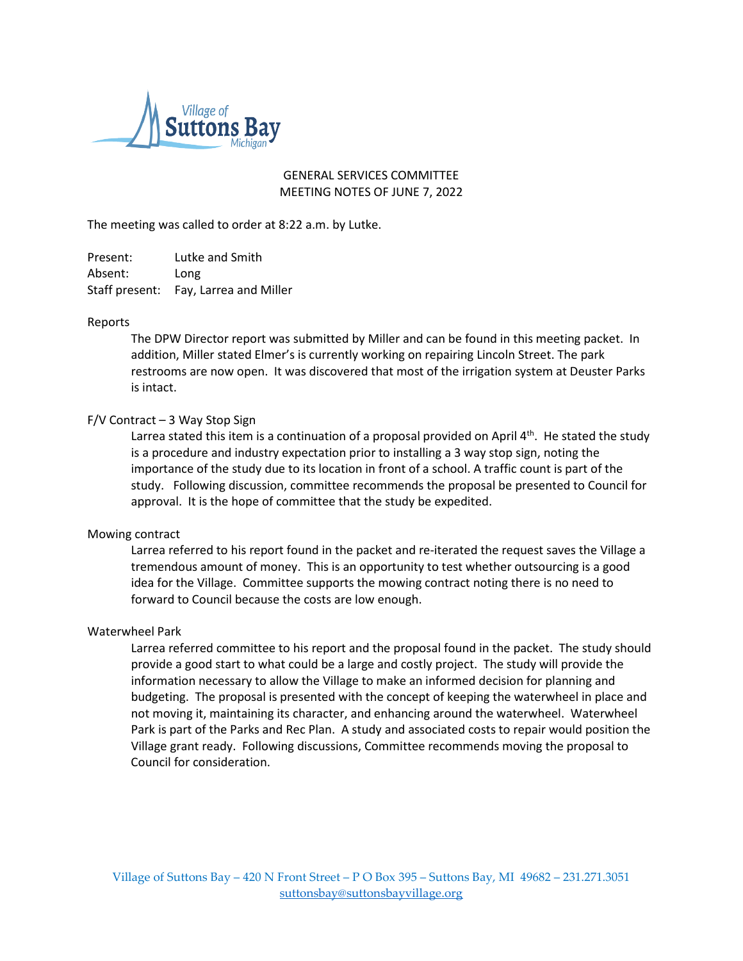

# GENERAL SERVICES COMMITTEE MEETING NOTES OF JUNE 7, 2022

The meeting was called to order at 8:22 a.m. by Lutke.

Present: Lutke and Smith Absent: Long Staff present: Fay, Larrea and Miller

### Reports

The DPW Director report was submitted by Miller and can be found in this meeting packet. In addition, Miller stated Elmer's is currently working on repairing Lincoln Street. The park restrooms are now open. It was discovered that most of the irrigation system at Deuster Parks is intact.

# F/V Contract – 3 Way Stop Sign

Larrea stated this item is a continuation of a proposal provided on April  $4<sup>th</sup>$ . He stated the study is a procedure and industry expectation prior to installing a 3 way stop sign, noting the importance of the study due to its location in front of a school. A traffic count is part of the study. Following discussion, committee recommends the proposal be presented to Council for approval. It is the hope of committee that the study be expedited.

#### Mowing contract

Larrea referred to his report found in the packet and re-iterated the request saves the Village a tremendous amount of money. This is an opportunity to test whether outsourcing is a good idea for the Village. Committee supports the mowing contract noting there is no need to forward to Council because the costs are low enough.

### Waterwheel Park

Larrea referred committee to his report and the proposal found in the packet. The study should provide a good start to what could be a large and costly project. The study will provide the information necessary to allow the Village to make an informed decision for planning and budgeting. The proposal is presented with the concept of keeping the waterwheel in place and not moving it, maintaining its character, and enhancing around the waterwheel. Waterwheel Park is part of the Parks and Rec Plan. A study and associated costs to repair would position the Village grant ready. Following discussions, Committee recommends moving the proposal to Council for consideration.